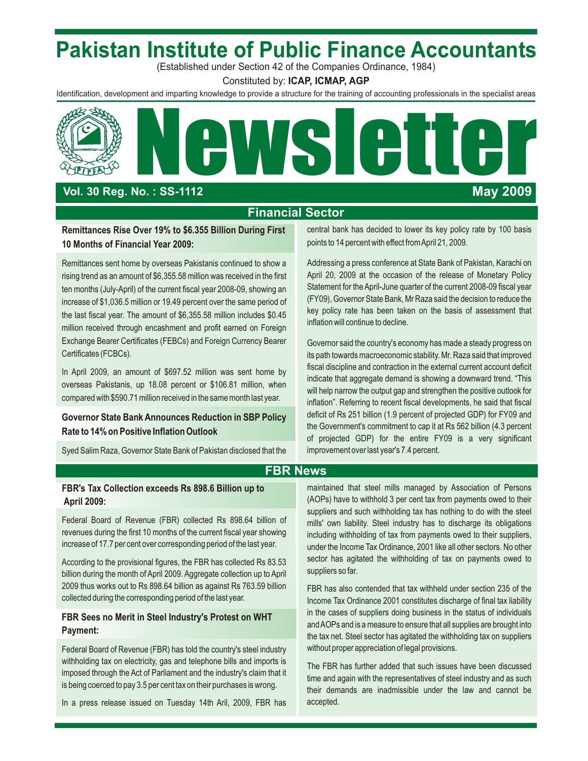## **Pakistan Institute of Public Finance Accountants**

(Established under Section 42 of the Companies Ordinance, 1984)

Constituted by: **ICAP, ICMAP, AGP**

Identification, development and imparting knowledge to provide a structure for the training of accounting professionals in the specialist areas



## **Vol. 30 Reg. No. : SS-1 112**

## **May 2009**

## **Financial Sector**

## points to 14 percent with effect from April 21, 2009. **10 Months of Financial Year 2009:**

rising trend as an amount of \$6,355.58 million was received in the first April 20, 2009 at the occasion of the release of Monetary Policy ten months (July-April) of the current fiscal year 2008-09, showing an Statement for the April-June quarter of the current 2008-09 fiscal year<br>(FY09), Governor State Bank, Mr Raza said the decision to reduce the increase of \$1,036.5 million or 19.49 percent over the same period of (FY09), Governor State Bank, Mr Raza said the decision to reduce the increase of \$1,036.5 million or 19.49 percent over the same period of (FY09), Gover the last fiscal year. The amount of \$6,355.58 million includes \$0.45 mey policy rate has been taken that the last fiscal year. The amount of \$6,355.58 million includes \$0.45 million will continue to decline. million received through encashment and profit earned on Foreign Exchange Bearer Certificates (FEBCs) and Foreign Currency Bearer Governor said the country's economy has made a steady progress on<br>Certificates (FCBCs).

compared with \$590.71 million received in the same month last year.

Syed Salim Raza, Governor State Bank of Pakistan disclosed that the improvement over last year's 7.4 percent.

**Remittances Rise Over 19% to \$6.355 Billion During First** central bank has decided to lower its key policy rate by 100 basis

Remittances sent home by overseas Pakistanis continued to show a <br>Addressing a press conference at State Bank of Pakistania Carachi on

its path towards macroeconomic stability. Mr. Raza said that improved In April 2009, an amount of \$697.52 million was sent home by fiscal discipline and contraction in the external current account deficit indicate that aggregate demand is showing a downward trend. "This overseas Pakistanis, up 18.08 percent or \$106.81 million, when will help narrow the output gap and strengthen the positive outlook for inflation". Referring to recent fiscal developments, he said that fiscal Governor State Bank Announces Reduction in SBP Policy deficit of Rs 251 billion (1.9 percent of projected GDP) for FY09 and<br>**Data to Cap it at Rs 562 billion (4.3 percent** Rate to 14% on Positive Inflation Outlook of projected GDP) for the entire FY09 is a very significant

## **FBR News**

revenues during the first 10 months of the current fiscal year showing including withholding of tax from payments owed to their suppliers,<br>increase of 17.7 per cent over corresponding period of the last year.

billion during the month of April 2009. Aggregate collection up to April 2009 thus works out to Rs 898.64 billion as against Rs 763.59 billion<br>
FBR has also contended that tax withheld under section 235 of the<br>
Income Tax Ordinance 2001 constitutes discharge of final tax liability

Federal Board of Revenue (FBR) has told the country's steel industry without proper appreciation of legal provisions. withholding tax on electricity, gas and telephone bills and imports is<br>imposed through the Act of Parliament and the industry's claim that it<br>imposed parliament and the industry's claim that it imposed through the Act of Panlament and the industry's claim that it<br>is being coerced to pay 3.5 per cent tax on their purchases is wrong.

In a press release issued on Tuesday 14th Aril, 2009, FBR has accepted.

**FBR's Tax Collection exceeds Rs 898.6 Billion up to** maintained that steel mills managed by Association of Persons **April 2009:** (AOPs) have to withhold 3 per cent tax from payments owed to their suppliers and such withholding tax has nothing to do with the steel Federal Board of Revenue (FBR) collected Rs 898.64 billion of mills' own liability. Steel industry has to discharge its obligations revenues during the first 10 months of the current fiscal year showing including withholdi under the Income Tax Ordinance, 2001 like all other sectors. No other According to the provisional figures, the FBR has collected Rs 83.53 sector has agitated the withholding of tax on payments owed to suppliers so far.

Income Tax Ordinance 2001 constitutes discharge of final tax liability **FBR Sees no Merit in Steel Industry's Protest on WHT** in the cases of suppliers doing business in the status of individuals and AOPs and is a measure to ensure that all supplies are brought into **Payment: Payment:** the tax net. Steel sector has agitated the withholding tax on suppliers

their demands are inadmissible under the law and cannot be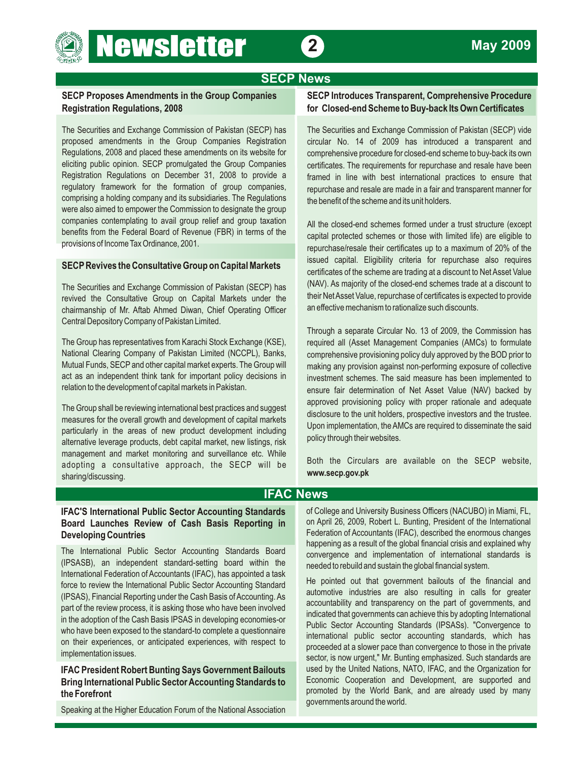## **SECP News**

## **Registration Regulations, 2008 for Closed-end Scheme to Buy-back Its Own Certificates**

**Newsletter 2** 

The Securities and Exchange Commission of Pakistan (SECP) has The Securities and Exchange Commission of Pakistan (SECP) vide proposed amendments in the Group Companies Registration circular No. 14 of 2009 has introduced a transparent and Regulations, 2008 and placed these amendments on its website for comprehensive procedure for closed-end scheme to buy-back its own eliciting public opinion. SECP promulgated the Group Companies certificates. The requirements for repurchase and resale have been Registration Regulations on December 31, 2008 to provide a framed in line with best international practices to ensure that requlatory framework for the formation of group companies. comprising a holding company and its subsidiaries. The Regulations the benefit of the scheme and its unit holders. were also aimed to empower the Commission to designate the group companies contemplating to avail group relief and group taxation<br>
All the closed-end schemes formed under a trust structure (except<br>
conital protocted schemes or these with limited life) are eligible to benefits from the Federal Board of Revenue (FBR) in terms of the capital protected schemes or those with limited life) are eligible to provisions of nocme Tax Ordinance, 2001.

revived the Consultative Group on Capital Markets under the their Net Asset Value, repurchase of certificates is expected to provide<br>chairmanship of Mr. Aftab Abmed Diwan, Chief Operating Officer an effective mechanism to chairmanship of Mr. Aftab Ahmed Diwan, Chief Operating Officer Central Depository Company of Pakistan Limited.

The Group has representatives from Karachi Stock Exchange (KSE), required all (Asset Management Companies (AMCs) to formulate National Clearing Company of Pakistan Limited (NCCPL), Banks, comprehensive provisioning policy duly approved by the BOD prior to<br>Mutual Funds, SECP and other capital market experts. The Group will making any provision aga Mutual Funds, SECP and other capital market experts. The Group will making any provision against non-performing exposure of collective act as an independent think tank for important policy decisions in investment schemes. The said measure has been implemented to relation to the development of capital markets in Pakistan.

alternative leverage products, debt capital market, new listings, risk management and market monitoring and surveillance etc. While adopting a consultative approach, the SECP will be **www.secp.gov.pk** sharing/discussing.

## **SECP Proposes Amendments in the Group Companies SECP Introduces Transparent, Comprehensive Procedure**

repurchase and resale are made in a fair and transparent manner for

repurchase/resale their certificates up to a maximum of 20% of the **SECP Revives the Consultative Group on Capital Markets** issued capital. Eligibility criteria for repurchase also requires certificates of the scheme are trading at a discount to Net Asset Value The Securities and Exchange Commission of Pakistan (SECP) has (NAV). As majority of the closed-end schemes trade at a discount to

Through a separate Circular No. 13 of 2009, the Commission has ensure fair determination of Net Asset Value (NAV) backed by The Group shall be reviewing international best practices and suggest<br>measures for the overall growth and development of capital markets<br>particularly in the areas of new product development including<br>alternative loverage p

Both the Circulars are available on the SECP website,

## **IFAC News**

## Board Launches Review of Cash Basis Reporting in **Developing Countries Federation of Accountants (IFAC), described the enormous changes**

(IPSASB), an independent standard-setting board within the needed to rebuild and sustain the global financial system. International Federation of Accountants (IFAC), has appointed a task He pointed out that government bailouts of the financial and<br>force to review the International Public Sector Accounting Standard<br>(IDSAS) Einancial Poperting under the Ceeh Posis of Accounting Accounting Accounting the stat (IPSAS), Financial Reporting under the Cash Basis of Accounting. As<br>part of the review process, it is asking those who have been involved<br>in the adoption of the Cash Basis IPSAS in developing economies-or<br>who have been exp

**Bring International Public Sector Accounting Standards to** 

Speaking at the Higher Education Forum of the National Association

**IFAC'S International Public Sector Accounting Standards** of College and University Business Officers (NACUBO) in Miami, FL,<br>**Board Launches Review of Cash Basis Reporting in** on April 26, 2009, Robert L. Bunting, Presiden happening as a result of the global financial crisis and explained why The International Public Sector Accounting Standards Board convergence and implementation of international standards is

on their experiences, or anticipated experiences, with respect to proceeded at a slower pace than convergence to those in the private implementation issues. Such standards are sector, is now urgent," Mr. Bunting emphasized IFAC President Robert Bunting Says Government Bailouts used by the United Nations, NATO, IFAC, and the Organization for<br>**Bring International Public Sector Accounting Standards to** Economic Cooperation and Development, are promoted by the World Bank, and are already used by many **the Forefront** governments around the world.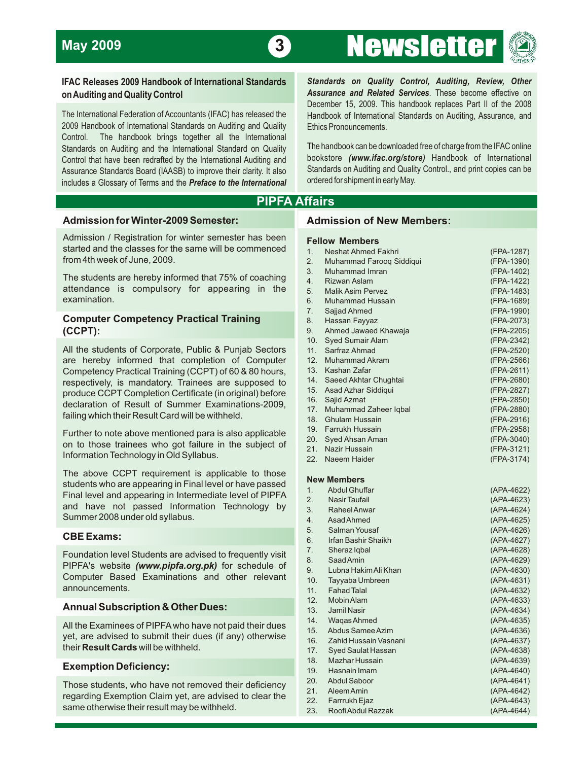



2009 Handbook of International Standards on Auditing and Quality Ethics Pronouncements. Control. The handbook brings together all the International Standards on Auditing and the International Standard on Quality<br>Control that have been redrafted by the International Auditing and bookstore (www.ifac.org/store) Handbook of International Control that have been redrafted by the International Auditing and bookstore (www.ifac.org/store) Handbook of International includes a Glossary of Terms and the *Preface to the International* 

**IFAC Releases 2009 Handbook of International Standards** *Standards on Quality Control, Auditing, Review, Other* **on Auditing and Quality Control** *Assurance and Related Services*. These become effective on December 15, 2009. This handbook replaces Part II of the 2008 The International Federation of Accountants (IFAC) has released the Handbook of International Standards on Auditing, Assurance, and

Assurance Standards Board (IAASB) to improve their clarity. It also Standards on Auditing and Quality Control., and print copies can be ordered for shipment in early May.

## **PIPFA Affairs**

### **Admission for Winter-2009 Semester:**

Admission / Registration for winter semester has been started and the classes for the same will be commenced from 4th week of June, 2009.

The students are hereby informed that 75% of coaching attendance is compulsory for appearing in the examination.

## **Computer Competency Practical Training (CCPT):**

All the students of Corporate, Public & Punjab Sectors are hereby informed that completion of Computer Competency Practical Training (CCPT) of 60 & 80 hours, respectively, is mandatory. Trainees are supposed to produce CCPT Completion Certificate (in original) before declaration of Result of Summer Examinations-2009, failing which their Result Card will be withheld.

Further to note above mentioned para is also applicable on to those trainees who got failure in the subject of Information Technology in Old Syllabus.

The above CCPT requirement is applicable to those students who are appearing in Final level or have passed Final level and appearing in Intermediate level of PIPFA and have not passed Information Technology by Summer 2008 under old syllabus.

### **CBE Exams:**

Foundation level Students are advised to frequently visit PIPFA's website *(www.pipfa.org.pk)* for schedule of Computer Based Examinations and other relevant announcements.

### **Annual Subscription & Other Dues:**

All the Examinees of PIPFA who have not paid their dues yet, are advised to submit their dues (if any) otherwise their **Result Cards** will be withheld.

### **Exemption Deficiency:**

Those students, who have not removed their deficiency regarding Exemption Claim yet, are advised to clear the same otherwise their result may be withheld.

### **Admission of New Members:**

### **Fellow Members**

| Neshat Ahmed Fakhri      | (FPA-1287) |
|--------------------------|------------|
| Muhammad Faroog Siddiqui | (FPA-1390) |
| Muhammad Imran           | (FPA-1402) |
| <b>Rizwan Aslam</b>      | (FPA-1422) |
| <b>Malik Asim Pervez</b> | (FPA-1483) |
| <b>Muhammad Hussain</b>  | (FPA-1689) |
| Sajjad Ahmed             | (FPA-1990) |
| Hassan Fayyaz            | (FPA-2073) |
| Ahmed Jawaed Khawaja     | (FPA-2205) |
| <b>Syed Sumair Alam</b>  | (FPA-2342) |
| Sarfraz Ahmad            | (FPA-2520) |
| <b>Muhammad Akram</b>    | (FPA-2566) |
| Kashan Zafar             | (FPA-2611) |
| Saeed Akhtar Chughtai    | (FPA-2680) |
| Asad Azhar Siddiqui      | (FPA-2827) |
| Sajid Azmat              | (FPA-2850) |
| Muhammad Zaheer Iqbal    | (FPA-2880) |
| <b>Ghulam Hussain</b>    | (FPA-2916) |
| Farrukh Hussain          | (FPA-2958) |
| <b>Syed Ahsan Aman</b>   | (FPA-3040) |
| Nazir Hussain            | (FPA-3121) |
| Naeem Haider             | (FPA-3174) |
|                          |            |

### **New Members**

| 1.  | <b>Abdul Ghuffar</b>  | (APA-4622) |
|-----|-----------------------|------------|
| 2.  | Nasir Taufail         | (APA-4623) |
| 3.  | Raheel Anwar          | (APA-4624) |
| 4.  | Asad Ahmed            | (APA-4625) |
| 5.  | Salman Yousaf         | (APA-4626) |
| 6.  | Irfan Bashir Shaikh   | (APA-4627) |
| 7.  | Sheraz Iqbal          | (APA-4628) |
| 8.  | Saad Amin             | (APA-4629) |
| 9.  | Lubna Hakim Ali Khan  | (APA-4630) |
| 10. | Tayyaba Umbreen       | (APA-4631) |
| 11. | <b>Fahad Talal</b>    | (APA-4632) |
| 12. | <b>Mobin Alam</b>     | (APA-4633) |
| 13. | <b>Jamil Nasir</b>    | (APA-4634) |
| 14. | Wagas Ahmed           | (APA-4635) |
| 15. | Abdus Samee Azim      | (APA-4636) |
| 16. | Zahid Hussain Vasnani | (APA-4637) |
| 17. | Syed Saulat Hassan    | (APA-4638) |
| 18. | Mazhar Hussain        | (APA-4639) |
| 19. | Hasnain Imam          | (APA-4640) |
| 20. | <b>Abdul Saboor</b>   | (APA-4641) |
| 21. | Aleem Amin            | (APA-4642) |
| 22. | Farrrukh Ejaz         | (APA-4643) |
| 23. | Roofi Abdul Razzak    | (APA-4644) |